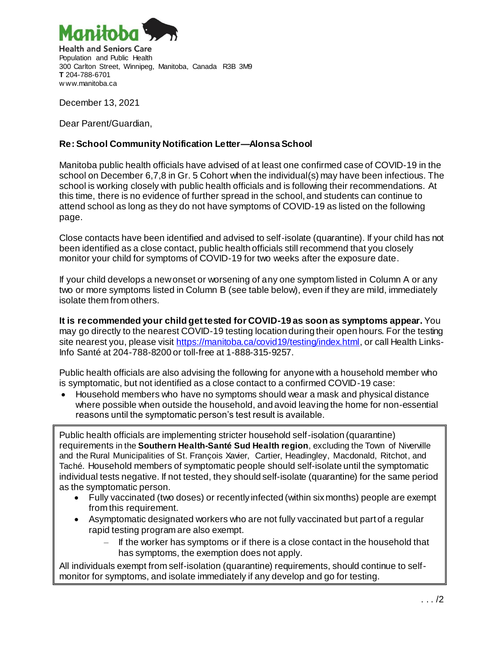

**Health and Seniors Care** Population and Public Health 300 Carlton Street, Winnipeg, Manitoba, Canada R3B 3M9 **T** 204-788-6701 w ww.manitoba.ca

December 13, 2021

Dear Parent/Guardian,

## **Re: School Community Notification Letter—AlonsaSchool**

Manitoba public health officials have advised of at least one confirmed case of COVID-19 in the school on December 6,7,8 in Gr. 5 Cohort when the individual(s) may have been infectious. The school is working closely with public health officials and is following their recommendations. At this time, there is no evidence of further spread in the school, and students can continue to attend school as long as they do not have symptoms of COVID-19 as listed on the following page.

Close contacts have been identified and advised to self-isolate (quarantine). If your child has not been identified as a close contact, public health officials still recommend that you closely monitor your child for symptoms of COVID-19 for two weeks after the exposure date.

If your child develops a new onset or worsening of any one symptom listed in Column A or any two or more symptoms listed in Column B (see table below), even if they are mild, immediately isolate them from others.

**It is recommended your child get tested for COVID-19 as soon as symptoms appear.** You may go directly to the nearest COVID-19 testing location during their open hours. For the testing site nearest you, please visit <https://manitoba.ca/covid19/testing/index.html>, or call Health Links-Info Santé at 204-788-8200 or toll-free at 1-888-315-9257.

Public health officials are also advising the following for anyone with a household member who is symptomatic, but not identified as a close contact to a confirmed COVID-19 case:

• Household members who have no symptoms should wear a mask and physical distance where possible when outside the household, and avoid leaving the home for non-essential reasons until the symptomatic person's test result is available.

Public health officials are implementing stricter household self-isolation (quarantine) requirements in the **Southern Health-Santé Sud Health region**, excluding the Town of Niverville and the Rural Municipalities of St. François Xavier, Cartier, Headingley, Macdonald, Ritchot, and Taché. Household members of symptomatic people should self-isolate until the symptomatic individual tests negative. If not tested, they should self-isolate (quarantine) for the same period as the symptomatic person.

- Fully vaccinated (two doses) or recently infected (within six months) people are exempt from this requirement.
- Asymptomatic designated workers who are not fully vaccinated but part of a regular rapid testing program are also exempt.
	- ‒ If the worker has symptoms or if there is a close contact in the household that has symptoms, the exemption does not apply.

All individuals exempt from self-isolation (quarantine) requirements, should continue to selfmonitor for symptoms, and isolate immediately if any develop and go for testing.